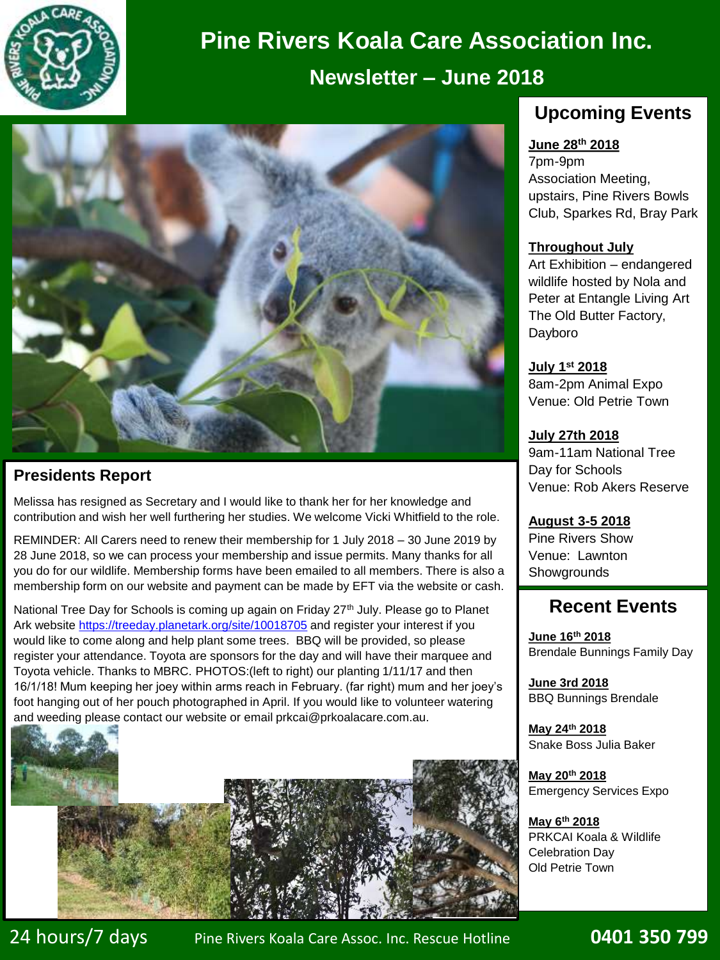

# **Pine Rivers Koala Care Association Inc.**

## **Newsletter – June 2018**



## **Presidents Report**

Melissa has resigned as Secretary and I would like to thank her for her knowledge and contribution and wish her well furthering her studies. We welcome Vicki Whitfield to the role.

REMINDER: All Carers need to renew their membership for 1 July 2018 – 30 June 2019 by 28 June 2018, so we can process your membership and issue permits. Many thanks for all you do for our wildlife. Membership forms have been emailed to all members. There is also a membership form on our website and payment can be made by EFT via the website or cash.

National Tree Day for Schools is coming up again on Friday 27<sup>th</sup> July. Please go to Planet Ark website<https://treeday.planetark.org/site/10018705> and register your interest if you would like to come along and help plant some trees. BBQ will be provided, so please register your attendance. Toyota are sponsors for the day and will have their marquee and Toyota vehicle. Thanks to MBRC. PHOTOS:(left to right) our planting 1/11/17 and then 16/1/18! Mum keeping her joey within arms reach in February. (far right) mum and her joey's foot hanging out of her pouch photographed in April. If you would like to volunteer watering and weeding please contact our website or email prkcai@prkoalacare.com.au.



## **Upcoming Events**

#### **June 28th 2018**

7pm-9pm Association Meeting, upstairs, Pine Rivers Bowls Club, Sparkes Rd, Bray Park

#### **Throughout July**

Art Exhibition – endangered wildlife hosted by Nola and Peter at Entangle Living Art The Old Butter Factory, Dayboro

**July 1st 2018** 8am-2pm Animal Expo Venue: Old Petrie Town

**July 27th 2018** 9am-11am National Tree Day for Schools Venue: Rob Akers Reserve

**August 3-5 2018** Pine Rivers Show Venue: Lawnton **Showgrounds** 

## **Recent Events**

**June 16th 2018** Brendale Bunnings Family Day

**June 3rd 2018**  BBQ Bunnings Brendale

**May 24th 2018** Snake Boss Julia Baker

**May 20th 2018** Emergency Services Expo

**May 6th 2018** PRKCAI Koala & Wildlife Celebration Day Old Petrie Town

.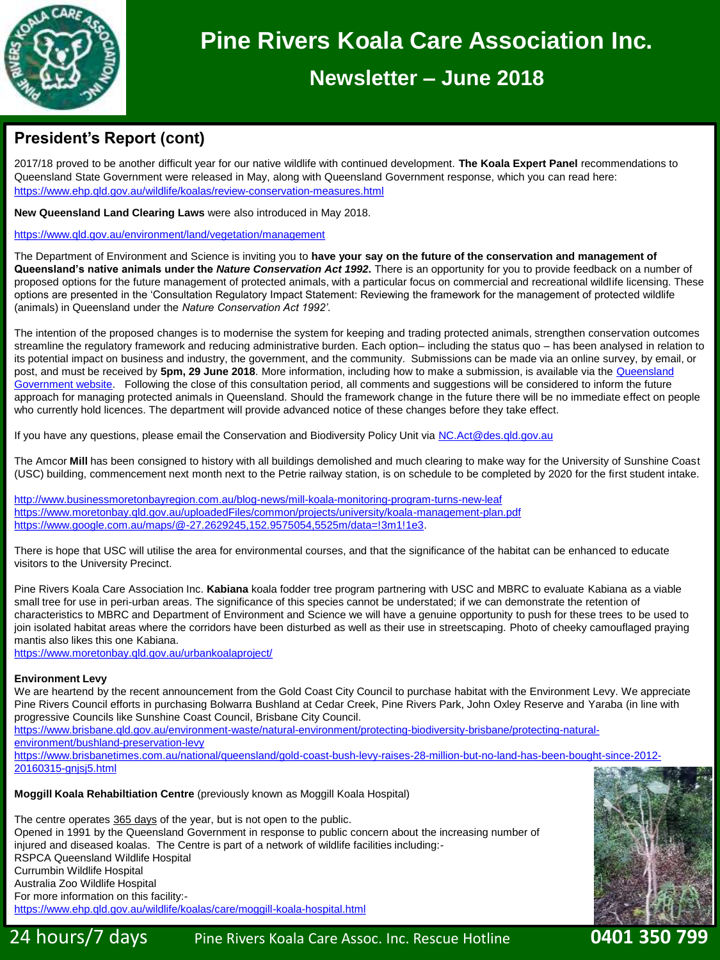

## **Pine Rivers Koala Care Association Inc.**

## **Newsletter – June 2018**

## **President's Report (cont)**

2017/18 proved to be another difficult year for our native wildlife with continued development. **The Koala Expert Panel** recommendations to Queensland State Government were released in May, along with Queensland Government response, which you can read here: <https://www.ehp.qld.gov.au/wildlife/koalas/review-conservation-measures.html>

**New Queensland Land Clearing Laws** were also introduced in May 2018.

#### <https://www.qld.gov.au/environment/land/vegetation/management>

The Department of Environment and Science is inviting you to **have your say on the future of the conservation and management of Queensland's native animals under the** *Nature Conservation Act 1992***.** There is an opportunity for you to provide feedback on a number of proposed options for the future management of protected animals, with a particular focus on commercial and recreational wildlife licensing. These options are presented in the 'Consultation Regulatory Impact Statement: Reviewing the framework for the management of protected wildlife (animals) in Queensland under the *Nature Conservation Act 1992'*.

The intention of the proposed changes is to modernise the system for keeping and trading protected animals, strengthen conservation outcomes streamline the regulatory framework and reducing administrative burden. Each option– including the status quo – has been analysed in relation to its potential impact on business and industry, the government, and the community. Submissions can be made via an online survey, by email, or post, and must be received by **5pm, 29 June 2018**. More information, including how to make a submission, is available via the Queensland Government website. [Following the close of this consultation period, all comments and suggestions will be considered to inform the future](https://www.vision6.com.au/ch/35572/1j785/2711059/e48999xd6.html)  approach for managing protected animals in Queensland. Should the framework change in the future there will be no immediate effect on people who currently hold licences. The department will provide advanced notice of these changes before they take effect.

If you have any questions, please email the Conservation and Biodiversity Policy Unit via [NC.Act@des.qld.gov.au](mailto:NC.Act@des.qld.gov.au)

The Amcor **Mill** has been consigned to history with all buildings demolished and much clearing to make way for the University of Sunshine Coast (USC) building, commencement next month next to the Petrie railway station, is on schedule to be completed by 2020 for the first student intake.

<http://www.businessmoretonbayregion.com.au/blog-news/mill-koala-monitoring-program-turns-new-leaf> <https://www.moretonbay.qld.gov.au/uploadedFiles/common/projects/university/koala-management-plan.pdf> https://www.google.com.au/maps/@-27.2629245.152.9575054.5525m/data=!3m1!1e3.

There is hope that USC will utilise the area for environmental courses, and that the significance of the habitat can be enhanced to educate visitors to the University Precinct.

Pine Rivers Koala Care Association Inc. **Kabiana** koala fodder tree program partnering with USC and MBRC to evaluate Kabiana as a viable small tree for use in peri-urban areas. The significance of this species cannot be understated; if we can demonstrate the retention of characteristics to MBRC and Department of Environment and Science we will have a genuine opportunity to push for these trees to be used to join isolated habitat areas where the corridors have been disturbed as well as their use in streetscaping. Photo of cheeky camouflaged praying mantis also likes this one Kabiana.

<https://www.moretonbay.qld.gov.au/urbankoalaproject/>

#### **Environment Levy**

We are heartend by the recent announcement from the Gold Coast City Council to purchase habitat with the Environment Levy. We appreciate Pine Rivers Council efforts in purchasing Bolwarra Bushland at Cedar Creek, Pine Rivers Park, John Oxley Reserve and Yaraba (in line with progressive Councils like Sunshine Coast Council, Brisbane City Council.

[https://www.brisbane.qld.gov.au/environment-waste/natural-environment/protecting-biodiversity-brisbane/protecting-natural](https://www.brisbane.qld.gov.au/environment-waste/natural-environment/protecting-biodiversity-brisbane/protecting-natural-environment/bushland-preservation-levy)environment/bushland-preservation-levy

[https://www.brisbanetimes.com.au/national/queensland/gold-coast-bush-levy-raises-28-million-but-no-land-has-been-bought-since-2012-](https://www.brisbanetimes.com.au/national/queensland/gold-coast-bush-levy-raises-28-million-but-no-land-has-been-bought-since-2012-20160315-gnjsj5.html) 20160315-gnjsj5.html

#### **Moggill Koala Rehabiltiation Centre** (previously known as Moggill Koala Hospital)

The centre operates 365 days of the year, but is not open to the public. Opened in 1991 by the Queensland Government in response to public concern about the increasing number of injured and diseased koalas. The Centre is part of a network of wildlife facilities including:- RSPCA Queensland Wildlife Hospital Currumbin Wildlife Hospital Australia Zoo Wildlife Hospital For more information on this facility: <https://www.ehp.qld.gov.au/wildlife/koalas/care/moggill-koala-hospital.html>

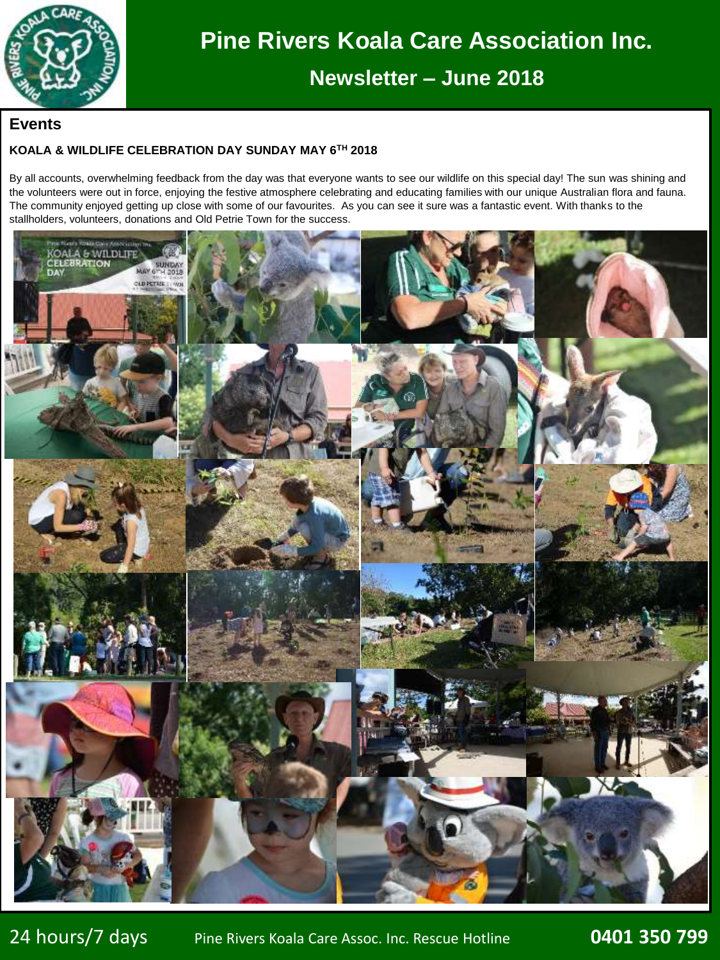

## **Pine Rivers Koala Care Association Inc.**

**Newsletter – June 2018**

#### **Events**

#### **KOALA & WILDLIFE CELEBRATION DAY SUNDAY MAY 6TH 2018**

By all accounts, overwhelming feedback from the day was that everyone wants to see our wildlife on this special day! The sun was shining and the volunteers were out in force, enjoying the festive atmosphere celebrating and educating families with our unique Australian flora and fauna. The community enjoyed getting up close with some of our favourites. As you can see it sure was a fantastic event. With thanks to the stallholders, volunteers, donations and Old Petrie Town for the success.

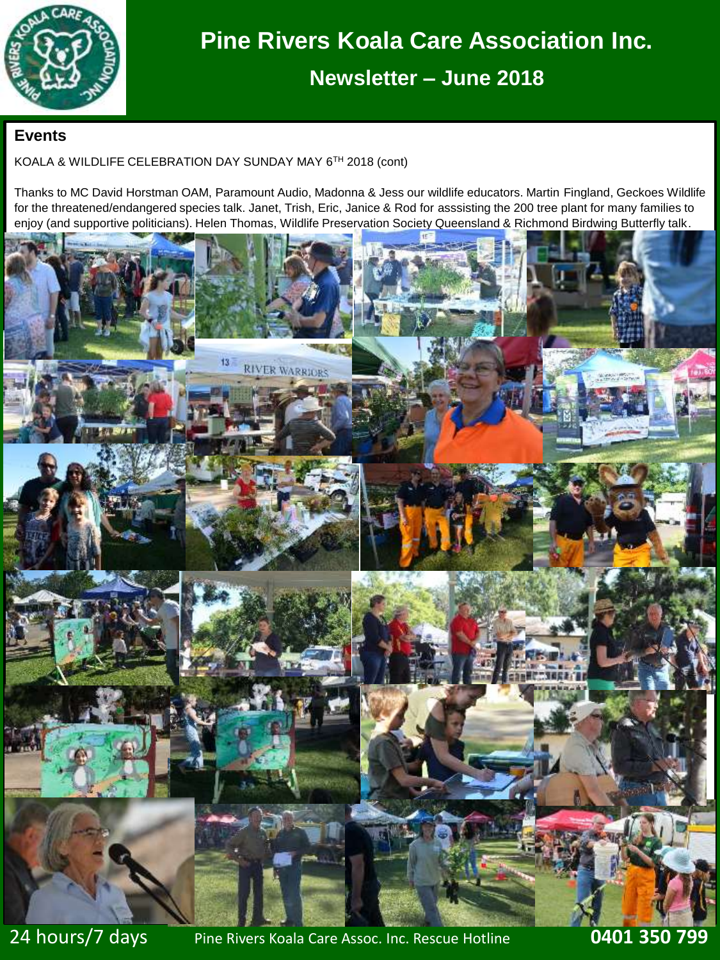

## **Newsletter – June 2018**

#### **Events**

#### KOALA & WILDLIFE CELEBRATION DAY SUNDAY MAY 6TH 2018 (cont)

Thanks to MC David Horstman OAM, Paramount Audio, Madonna & Jess our wildlife educators. Martin Fingland, Geckoes Wildlife for the threatened/endangered species talk. Janet, Trish, Eric, Janice & Rod for asssisting the 200 tree plant for many families to enjoy (and supportive politicians). Helen Thomas, Wildlife Preservation Society Queensland & Richmond Birdwing Butterfly talk.

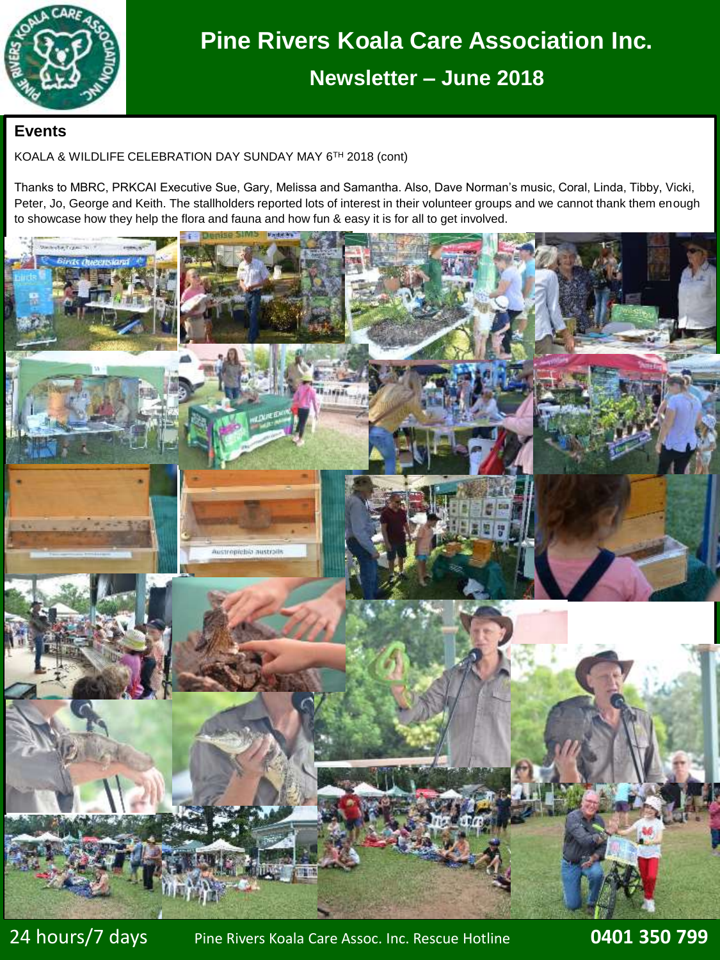

## **Newsletter – June 2018**

### **Events**

KOALA & WILDLIFE CELEBRATION DAY SUNDAY MAY 6TH 2018 (cont)

Thanks to MBRC, PRKCAI Executive Sue, Gary, Melissa and Samantha. Also, Dave Norman's music, Coral, Linda, Tibby, Vicki, Peter, Jo, George and Keith. The stallholders reported lots of interest in their volunteer groups and we cannot thank them enough to showcase how they help the flora and fauna and how fun & easy it is for all to get involved.

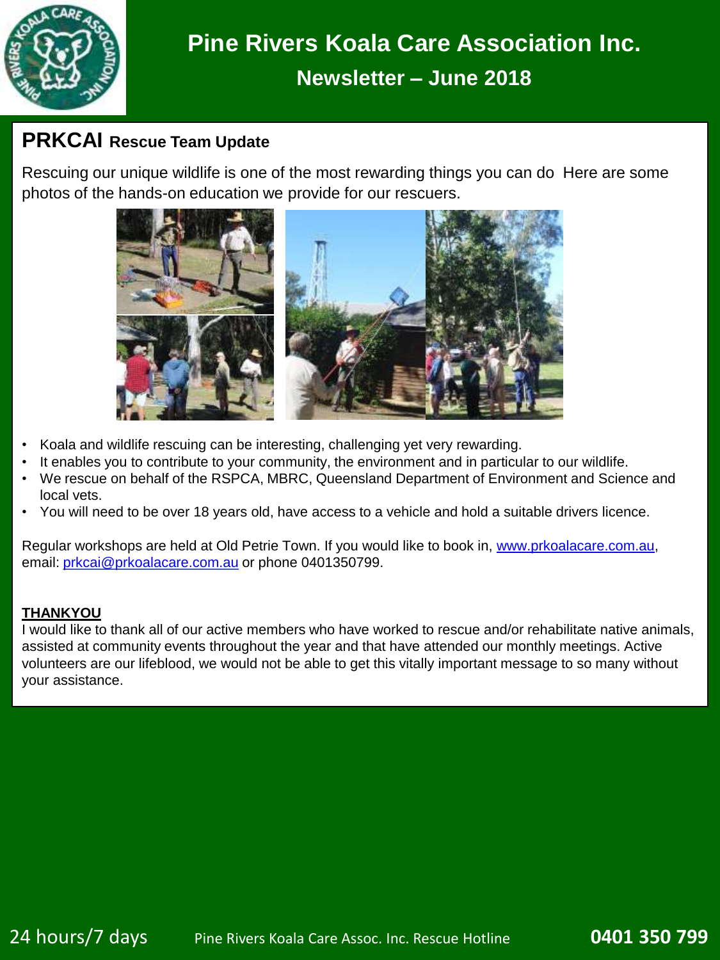

## **PRKCAI Rescue Team Update**

Rescuing our unique wildlife is one of the most rewarding things you can do Here are some photos of the hands-on education we provide for our rescuers.



- Koala and wildlife rescuing can be interesting, challenging yet very rewarding.
- It enables you to contribute to your community, the environment and in particular to our wildlife.
- We rescue on behalf of the RSPCA, MBRC, Queensland Department of Environment and Science and local vets.
- You will need to be over 18 years old, have access to a vehicle and hold a suitable drivers licence.

Regular workshops are held at Old Petrie Town. If you would like to book in, [www.prkoalacare.com.au,](http://www.prkoalacare.com.au/) email: [prkcai@prkoalacare.com.au](mailto:prkcai@prkoalacare.com.au) or phone 0401350799.

#### **THANKYOU**

I would like to thank all of our active members who have worked to rescue and/or rehabilitate native animals, assisted at community events throughout the year and that have attended our monthly meetings. Active volunteers are our lifeblood, we would not be able to get this vitally important message to so many without your assistance.